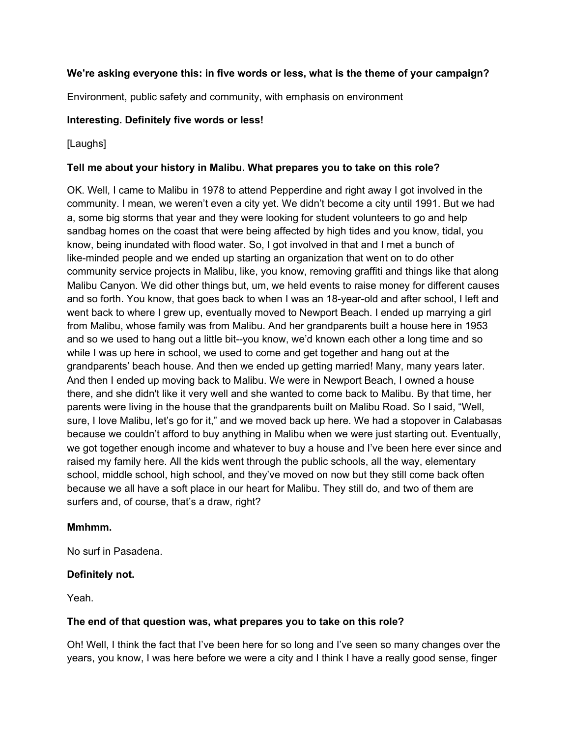## **We're asking everyone this: in five words or less, what is the theme of your campaign?**

Environment, public safety and community, with emphasis on environment

### **Interesting. Definitely five words or less!**

### [Laughs]

### **Tell me about your history in Malibu. What prepares you to take on this role?**

OK. Well, I came to Malibu in 1978 to attend Pepperdine and right away I got involved in the community. I mean, we weren't even a city yet. We didn't become a city until 1991. But we had a, some big storms that year and they were looking for student volunteers to go and help sandbag homes on the coast that were being affected by high tides and you know, tidal, you know, being inundated with flood water. So, I got involved in that and I met a bunch of like-minded people and we ended up starting an organization that went on to do other community service projects in Malibu, like, you know, removing graffiti and things like that along Malibu Canyon. We did other things but, um, we held events to raise money for different causes and so forth. You know, that goes back to when I was an 18-year-old and after school, I left and went back to where I grew up, eventually moved to Newport Beach. I ended up marrying a girl from Malibu, whose family was from Malibu. And her grandparents built a house here in 1953 and so we used to hang out a little bit--you know, we'd known each other a long time and so while I was up here in school, we used to come and get together and hang out at the grandparents' beach house. And then we ended up getting married! Many, many years later. And then I ended up moving back to Malibu. We were in Newport Beach, I owned a house there, and she didn't like it very well and she wanted to come back to Malibu. By that time, her parents were living in the house that the grandparents built on Malibu Road. So I said, "Well, sure, I love Malibu, let's go for it," and we moved back up here. We had a stopover in Calabasas because we couldn't afford to buy anything in Malibu when we were just starting out. Eventually, we got together enough income and whatever to buy a house and I've been here ever since and raised my family here. All the kids went through the public schools, all the way, elementary school, middle school, high school, and they've moved on now but they still come back often because we all have a soft place in our heart for Malibu. They still do, and two of them are surfers and, of course, that's a draw, right?

### **Mmhmm.**

No surf in Pasadena.

## **Definitely not.**

Yeah.

### **The end of that question was, what prepares you to take on this role?**

Oh! Well, I think the fact that I've been here for so long and I've seen so many changes over the years, you know, I was here before we were a city and I think I have a really good sense, finger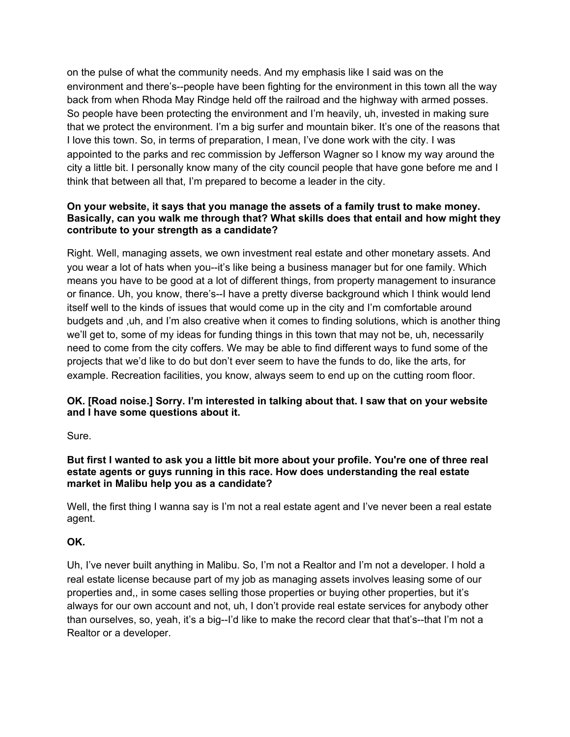on the pulse of what the community needs. And my emphasis like I said was on the environment and there's--people have been fighting for the environment in this town all the way back from when Rhoda May Rindge held off the railroad and the highway with armed posses. So people have been protecting the environment and I'm heavily, uh, invested in making sure that we protect the environment. I'm a big surfer and mountain biker. It's one of the reasons that I love this town. So, in terms of preparation, I mean, I've done work with the city. I was appointed to the parks and rec commission by Jefferson Wagner so I know my way around the city a little bit. I personally know many of the city council people that have gone before me and I think that between all that, I'm prepared to become a leader in the city.

## **On your website, it says that you manage the assets of a family trust to make money. Basically, can you walk me through that? What skills does that entail and how might they contribute to your strength as a candidate?**

Right. Well, managing assets, we own investment real estate and other monetary assets. And you wear a lot of hats when you--it's like being a business manager but for one family. Which means you have to be good at a lot of different things, from property management to insurance or finance. Uh, you know, there's--I have a pretty diverse background which I think would lend itself well to the kinds of issues that would come up in the city and I'm comfortable around budgets and ,uh, and I'm also creative when it comes to finding solutions, which is another thing we'll get to, some of my ideas for funding things in this town that may not be, uh, necessarily need to come from the city coffers. We may be able to find different ways to fund some of the projects that we'd like to do but don't ever seem to have the funds to do, like the arts, for example. Recreation facilities, you know, always seem to end up on the cutting room floor.

## **OK. [Road noise.] Sorry. I'm interested in talking about that. I saw that on your website and I have some questions about it.**

Sure.

### But first I wanted to ask you a little bit more about your profile. You're one of three real **estate agents or guys running in this race. How does understanding the real estate market in Malibu help you as a candidate?**

Well, the first thing I wanna say is I'm not a real estate agent and I've never been a real estate agent.

## **OK.**

Uh, I've never built anything in Malibu. So, I'm not a Realtor and I'm not a developer. I hold a real estate license because part of my job as managing assets involves leasing some of our properties and,, in some cases selling those properties or buying other properties, but it's always for our own account and not, uh, I don't provide real estate services for anybody other than ourselves, so, yeah, it's a big--I'd like to make the record clear that that's--that I'm not a Realtor or a developer.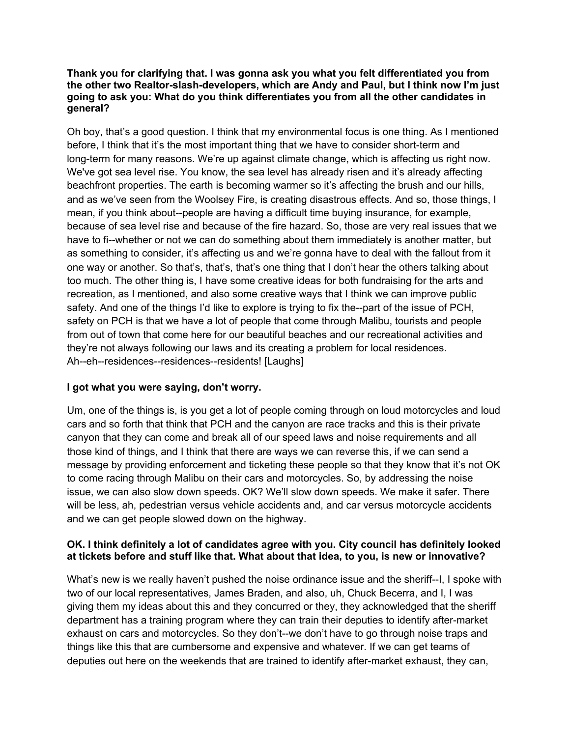#### **Thank you for clarifying that. I was gonna ask you what you felt differentiated you from the other two Realtor-slash-developers, which are Andy and Paul, but I think now I'm just going to ask you: What do you think differentiates you from all the other candidates in general?**

Oh boy, that's a good question. I think that my environmental focus is one thing. As I mentioned before, I think that it's the most important thing that we have to consider short-term and long-term for many reasons. We're up against climate change, which is affecting us right now. We've got sea level rise. You know, the sea level has already risen and it's already affecting beachfront properties. The earth is becoming warmer so it's affecting the brush and our hills, and as we've seen from the Woolsey Fire, is creating disastrous effects. And so, those things, I mean, if you think about--people are having a difficult time buying insurance, for example, because of sea level rise and because of the fire hazard. So, those are very real issues that we have to fi--whether or not we can do something about them immediately is another matter, but as something to consider, it's affecting us and we're gonna have to deal with the fallout from it one way or another. So that's, that's, that's one thing that I don't hear the others talking about too much. The other thing is, I have some creative ideas for both fundraising for the arts and recreation, as I mentioned, and also some creative ways that I think we can improve public safety. And one of the things I'd like to explore is trying to fix the--part of the issue of PCH, safety on PCH is that we have a lot of people that come through Malibu, tourists and people from out of town that come here for our beautiful beaches and our recreational activities and they're not always following our laws and its creating a problem for local residences. Ah--eh--residences--residences--residents! [Laughs]

## **I got what you were saying, don't worry.**

Um, one of the things is, is you get a lot of people coming through on loud motorcycles and loud cars and so forth that think that PCH and the canyon are race tracks and this is their private canyon that they can come and break all of our speed laws and noise requirements and all those kind of things, and I think that there are ways we can reverse this, if we can send a message by providing enforcement and ticketing these people so that they know that it's not OK to come racing through Malibu on their cars and motorcycles. So, by addressing the noise issue, we can also slow down speeds. OK? We'll slow down speeds. We make it safer. There will be less, ah, pedestrian versus vehicle accidents and, and car versus motorcycle accidents and we can get people slowed down on the highway.

### **OK. I think definitely a lot of candidates agree with you. City council has definitely looked at tickets before and stuff like that. What about that idea, to you, is new or innovative?**

What's new is we really haven't pushed the noise ordinance issue and the sheriff--I, I spoke with two of our local representatives, James Braden, and also, uh, Chuck Becerra, and I, I was giving them my ideas about this and they concurred or they, they acknowledged that the sheriff department has a training program where they can train their deputies to identify after-market exhaust on cars and motorcycles. So they don't--we don't have to go through noise traps and things like this that are cumbersome and expensive and whatever. If we can get teams of deputies out here on the weekends that are trained to identify after-market exhaust, they can,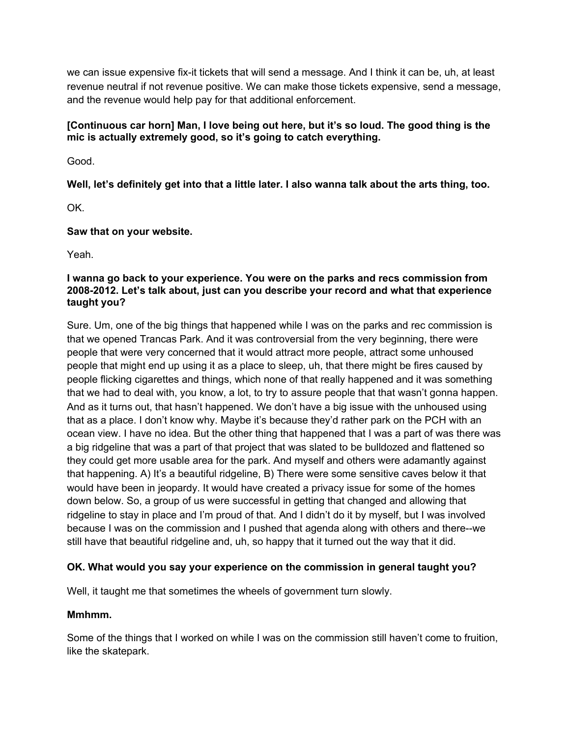we can issue expensive fix-it tickets that will send a message. And I think it can be, uh, at least revenue neutral if not revenue positive. We can make those tickets expensive, send a message, and the revenue would help pay for that additional enforcement.

## **[Continuous car horn] Man, I love being out here, but it's so loud. The good thing is the mic is actually extremely good, so it's going to catch everything.**

Good.

**Well, let's definitely get into that a little later. I also wanna talk about the arts thing, too.**

OK.

## **Saw that on your website.**

Yeah.

## **I wanna go back to your experience. You were on the parks and recs commission from 2008-2012. Let's talk about, just can you describe your record and what that experience taught you?**

Sure. Um, one of the big things that happened while I was on the parks and rec commission is that we opened Trancas Park. And it was controversial from the very beginning, there were people that were very concerned that it would attract more people, attract some unhoused people that might end up using it as a place to sleep, uh, that there might be fires caused by people flicking cigarettes and things, which none of that really happened and it was something that we had to deal with, you know, a lot, to try to assure people that that wasn't gonna happen. And as it turns out, that hasn't happened. We don't have a big issue with the unhoused using that as a place. I don't know why. Maybe it's because they'd rather park on the PCH with an ocean view. I have no idea. But the other thing that happened that I was a part of was there was a big ridgeline that was a part of that project that was slated to be bulldozed and flattened so they could get more usable area for the park. And myself and others were adamantly against that happening. A) It's a beautiful ridgeline, B) There were some sensitive caves below it that would have been in jeopardy. It would have created a privacy issue for some of the homes down below. So, a group of us were successful in getting that changed and allowing that ridgeline to stay in place and I'm proud of that. And I didn't do it by myself, but I was involved because I was on the commission and I pushed that agenda along with others and there--we still have that beautiful ridgeline and, uh, so happy that it turned out the way that it did.

# **OK. What would you say your experience on the commission in general taught you?**

Well, it taught me that sometimes the wheels of government turn slowly.

# **Mmhmm.**

Some of the things that I worked on while I was on the commission still haven't come to fruition, like the skatepark.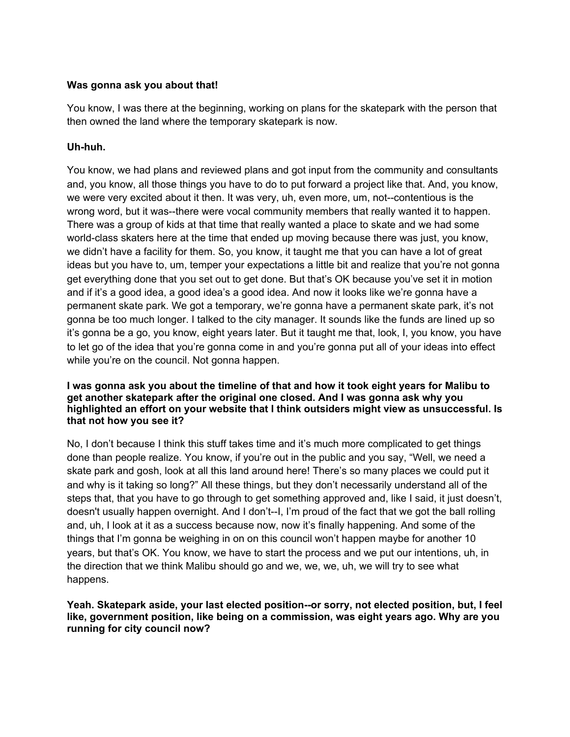### **Was gonna ask you about that!**

You know, I was there at the beginning, working on plans for the skatepark with the person that then owned the land where the temporary skatepark is now.

## **Uh-huh.**

You know, we had plans and reviewed plans and got input from the community and consultants and, you know, all those things you have to do to put forward a project like that. And, you know, we were very excited about it then. It was very, uh, even more, um, not--contentious is the wrong word, but it was--there were vocal community members that really wanted it to happen. There was a group of kids at that time that really wanted a place to skate and we had some world-class skaters here at the time that ended up moving because there was just, you know, we didn't have a facility for them. So, you know, it taught me that you can have a lot of great ideas but you have to, um, temper your expectations a little bit and realize that you're not gonna get everything done that you set out to get done. But that's OK because you've set it in motion and if it's a good idea, a good idea's a good idea. And now it looks like we're gonna have a permanent skate park. We got a temporary, we're gonna have a permanent skate park, it's not gonna be too much longer. I talked to the city manager. It sounds like the funds are lined up so it's gonna be a go, you know, eight years later. But it taught me that, look, I, you know, you have to let go of the idea that you're gonna come in and you're gonna put all of your ideas into effect while you're on the council. Not gonna happen.

### **I was gonna ask you about the timeline of that and how it took eight years for Malibu to get another skatepark after the original one closed. And I was gonna ask why you highlighted an effort on your website that I think outsiders might view as unsuccessful. Is that not how you see it?**

No, I don't because I think this stuff takes time and it's much more complicated to get things done than people realize. You know, if you're out in the public and you say, "Well, we need a skate park and gosh, look at all this land around here! There's so many places we could put it and why is it taking so long?" All these things, but they don't necessarily understand all of the steps that, that you have to go through to get something approved and, like I said, it just doesn't, doesn't usually happen overnight. And I don't--I, I'm proud of the fact that we got the ball rolling and, uh, I look at it as a success because now, now it's finally happening. And some of the things that I'm gonna be weighing in on on this council won't happen maybe for another 10 years, but that's OK. You know, we have to start the process and we put our intentions, uh, in the direction that we think Malibu should go and we, we, we, uh, we will try to see what happens.

### **Yeah. Skatepark aside, your last elected position--or sorry, not elected position, but, I feel like, government position, like being on a commission, was eight years ago. Why are you running for city council now?**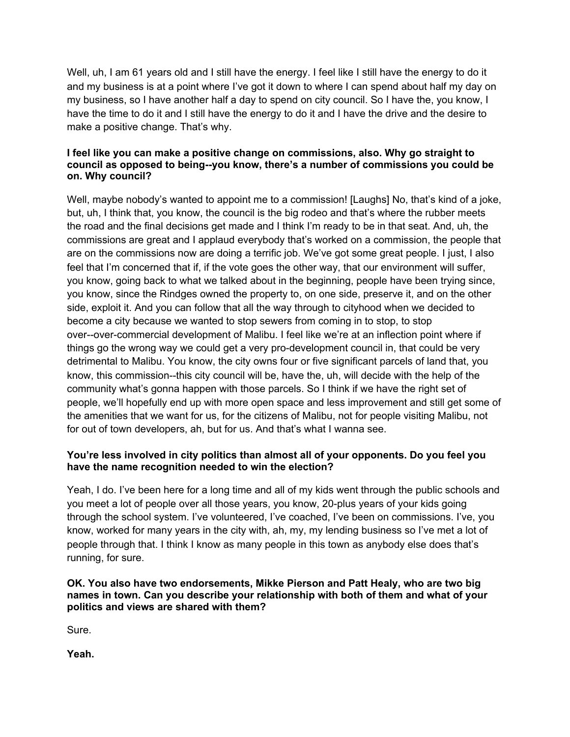Well, uh, I am 61 years old and I still have the energy. I feel like I still have the energy to do it and my business is at a point where I've got it down to where I can spend about half my day on my business, so I have another half a day to spend on city council. So I have the, you know, I have the time to do it and I still have the energy to do it and I have the drive and the desire to make a positive change. That's why.

### **I feel like you can make a positive change on commissions, also. Why go straight to council as opposed to being--you know, there's a number of commissions you could be on. Why council?**

Well, maybe nobody's wanted to appoint me to a commission! [Laughs] No, that's kind of a joke, but, uh, I think that, you know, the council is the big rodeo and that's where the rubber meets the road and the final decisions get made and I think I'm ready to be in that seat. And, uh, the commissions are great and I applaud everybody that's worked on a commission, the people that are on the commissions now are doing a terrific job. We've got some great people. I just, I also feel that I'm concerned that if, if the vote goes the other way, that our environment will suffer, you know, going back to what we talked about in the beginning, people have been trying since, you know, since the Rindges owned the property to, on one side, preserve it, and on the other side, exploit it. And you can follow that all the way through to cityhood when we decided to become a city because we wanted to stop sewers from coming in to stop, to stop over--over-commercial development of Malibu. I feel like we're at an inflection point where if things go the wrong way we could get a very pro-development council in, that could be very detrimental to Malibu. You know, the city owns four or five significant parcels of land that, you know, this commission--this city council will be, have the, uh, will decide with the help of the community what's gonna happen with those parcels. So I think if we have the right set of people, we'll hopefully end up with more open space and less improvement and still get some of the amenities that we want for us, for the citizens of Malibu, not for people visiting Malibu, not for out of town developers, ah, but for us. And that's what I wanna see.

## **You're less involved in city politics than almost all of your opponents. Do you feel you have the name recognition needed to win the election?**

Yeah, I do. I've been here for a long time and all of my kids went through the public schools and you meet a lot of people over all those years, you know, 20-plus years of your kids going through the school system. I've volunteered, I've coached, I've been on commissions. I've, you know, worked for many years in the city with, ah, my, my lending business so I've met a lot of people through that. I think I know as many people in this town as anybody else does that's running, for sure.

### **OK. You also have two endorsements, Mikke Pierson and Patt Healy, who are two big names in town. Can you describe your relationship with both of them and what of your politics and views are shared with them?**

Sure.

**Yeah.**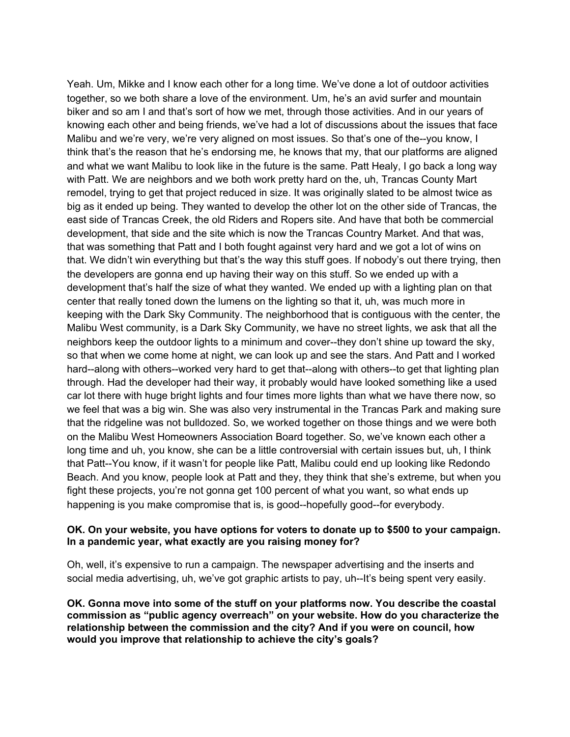Yeah. Um, Mikke and I know each other for a long time. We've done a lot of outdoor activities together, so we both share a love of the environment. Um, he's an avid surfer and mountain biker and so am I and that's sort of how we met, through those activities. And in our years of knowing each other and being friends, we've had a lot of discussions about the issues that face Malibu and we're very, we're very aligned on most issues. So that's one of the--you know, I think that's the reason that he's endorsing me, he knows that my, that our platforms are aligned and what we want Malibu to look like in the future is the same. Patt Healy, I go back a long way with Patt. We are neighbors and we both work pretty hard on the, uh, Trancas County Mart remodel, trying to get that project reduced in size. It was originally slated to be almost twice as big as it ended up being. They wanted to develop the other lot on the other side of Trancas, the east side of Trancas Creek, the old Riders and Ropers site. And have that both be commercial development, that side and the site which is now the Trancas Country Market. And that was, that was something that Patt and I both fought against very hard and we got a lot of wins on that. We didn't win everything but that's the way this stuff goes. If nobody's out there trying, then the developers are gonna end up having their way on this stuff. So we ended up with a development that's half the size of what they wanted. We ended up with a lighting plan on that center that really toned down the lumens on the lighting so that it, uh, was much more in keeping with the Dark Sky Community. The neighborhood that is contiguous with the center, the Malibu West community, is a Dark Sky Community, we have no street lights, we ask that all the neighbors keep the outdoor lights to a minimum and cover--they don't shine up toward the sky, so that when we come home at night, we can look up and see the stars. And Patt and I worked hard--along with others--worked very hard to get that--along with others--to get that lighting plan through. Had the developer had their way, it probably would have looked something like a used car lot there with huge bright lights and four times more lights than what we have there now, so we feel that was a big win. She was also very instrumental in the Trancas Park and making sure that the ridgeline was not bulldozed. So, we worked together on those things and we were both on the Malibu West Homeowners Association Board together. So, we've known each other a long time and uh, you know, she can be a little controversial with certain issues but, uh, I think that Patt--You know, if it wasn't for people like Patt, Malibu could end up looking like Redondo Beach. And you know, people look at Patt and they, they think that she's extreme, but when you fight these projects, you're not gonna get 100 percent of what you want, so what ends up happening is you make compromise that is, is good--hopefully good--for everybody.

### **OK. On your website, you have options for voters to donate up to \$500 to your campaign. In a pandemic year, what exactly are you raising money for?**

Oh, well, it's expensive to run a campaign. The newspaper advertising and the inserts and social media advertising, uh, we've got graphic artists to pay, uh--It's being spent very easily.

**OK. Gonna move into some of the stuff on your platforms now. You describe the coastal commission as "public agency overreach" on your website. How do you characterize the relationship between the commission and the city? And if you were on council, how would you improve that relationship to achieve the city's goals?**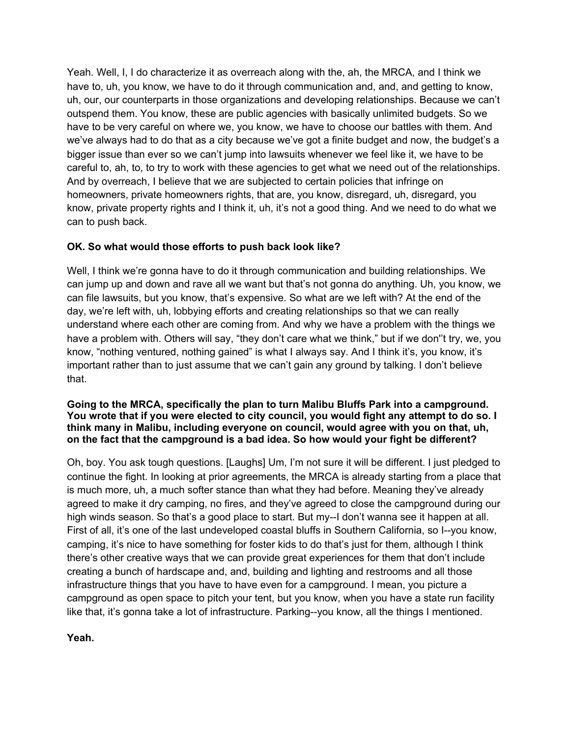Yeah. Well, I, I do characterize it as overreach along with the, ah, the MRCA, and I think we have to, uh, you know, we have to do it through communication and, and, and getting to know, uh, our, our counterparts in those organizations and developing relationships. Because we can't outspend them. You know, these are public agencies with basically unlimited budgets. So we have to be very careful on where we, you know, we have to choose our battles with them. And we've always had to do that as a city because we've got a finite budget and now, the budget's a bigger issue than ever so we can't jump into lawsuits whenever we feel like it, we have to be careful to, ah, to, to try to work with these agencies to get what we need out of the relationships. And by overreach, I believe that we are subjected to certain policies that infringe on homeowners, private homeowners rights, that are, you know, disregard, uh, disregard, you know, private property rights and I think it, uh, it's not a good thing. And we need to do what we can to push back.

## **OK. So what would those efforts to push back look like?**

Well, I think we're gonna have to do it through communication and building relationships. We can jump up and down and rave all we want but that's not gonna do anything. Uh, you know, we can file lawsuits, but you know, that's expensive. So what are we left with? At the end of the day, we're left with, uh, lobbying efforts and creating relationships so that we can really understand where each other are coming from. And why we have a problem with the things we have a problem with. Others will say, "they don't care what we think," but if we don''t try, we, you know, "nothing ventured, nothing gained" is what I always say. And I think it's, you know, it's important rather than to just assume that we can't gain any ground by talking. I don't believe that.

#### **Going to the MRCA, specifically the plan to turn Malibu Bluffs Park into a campground. You wrote that if you were elected to city council, you would fight any attempt to do so. I think many in Malibu, including everyone on council, would agree with you on that, uh, on the fact that the campground is a bad idea. So how would your fight be different?**

Oh, boy. You ask tough questions. [Laughs] Um, I'm not sure it will be different. I just pledged to continue the fight. In looking at prior agreements, the MRCA is already starting from a place that is much more, uh, a much softer stance than what they had before. Meaning they've already agreed to make it dry camping, no fires, and they've agreed to close the campground during our high winds season. So that's a good place to start. But my--I don't wanna see it happen at all. First of all, it's one of the last undeveloped coastal bluffs in Southern California, so I--you know, camping, it's nice to have something for foster kids to do that's just for them, although I think there's other creative ways that we can provide great experiences for them that don't include creating a bunch of hardscape and, and, building and lighting and restrooms and all those infrastructure things that you have to have even for a campground. I mean, you picture a campground as open space to pitch your tent, but you know, when you have a state run facility like that, it's gonna take a lot of infrastructure. Parking--you know, all the things I mentioned.

**Yeah.**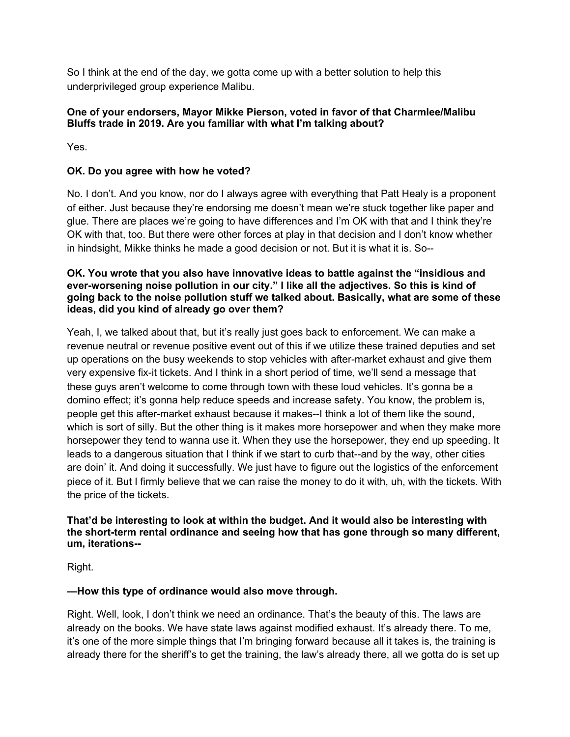So I think at the end of the day, we gotta come up with a better solution to help this underprivileged group experience Malibu.

## **One of your endorsers, Mayor Mikke Pierson, voted in favor of that Charmlee/Malibu Bluffs trade in 2019. Are you familiar with what I'm talking about?**

Yes.

# **OK. Do you agree with how he voted?**

No. I don't. And you know, nor do I always agree with everything that Patt Healy is a proponent of either. Just because they're endorsing me doesn't mean we're stuck together like paper and glue. There are places we're going to have differences and I'm OK with that and I think they're OK with that, too. But there were other forces at play in that decision and I don't know whether in hindsight, Mikke thinks he made a good decision or not. But it is what it is. So--

### **OK. You wrote that you also have innovative ideas to battle against the "insidious and ever-worsening noise pollution in our city." I like all the adjectives. So this is kind of going back to the noise pollution stuff we talked about. Basically, what are some of these ideas, did you kind of already go over them?**

Yeah, I, we talked about that, but it's really just goes back to enforcement. We can make a revenue neutral or revenue positive event out of this if we utilize these trained deputies and set up operations on the busy weekends to stop vehicles with after-market exhaust and give them very expensive fix-it tickets. And I think in a short period of time, we'll send a message that these guys aren't welcome to come through town with these loud vehicles. It's gonna be a domino effect; it's gonna help reduce speeds and increase safety. You know, the problem is, people get this after-market exhaust because it makes--I think a lot of them like the sound, which is sort of silly. But the other thing is it makes more horsepower and when they make more horsepower they tend to wanna use it. When they use the horsepower, they end up speeding. It leads to a dangerous situation that I think if we start to curb that--and by the way, other cities are doin' it. And doing it successfully. We just have to figure out the logistics of the enforcement piece of it. But I firmly believe that we can raise the money to do it with, uh, with the tickets. With the price of the tickets.

## **That'd be interesting to look at within the budget. And it would also be interesting with the short-term rental ordinance and seeing how that has gone through so many different, um, iterations--**

Right.

## **—How this type of ordinance would also move through.**

Right. Well, look, I don't think we need an ordinance. That's the beauty of this. The laws are already on the books. We have state laws against modified exhaust. It's already there. To me, it's one of the more simple things that I'm bringing forward because all it takes is, the training is already there for the sheriff's to get the training, the law's already there, all we gotta do is set up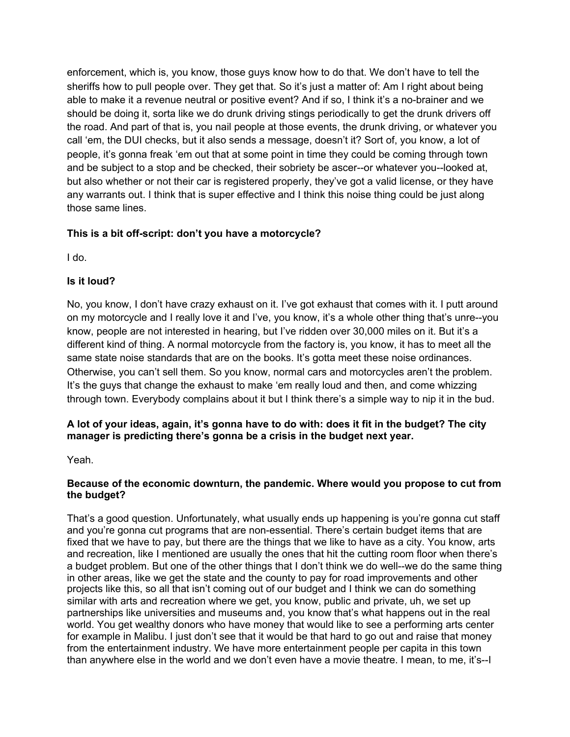enforcement, which is, you know, those guys know how to do that. We don't have to tell the sheriffs how to pull people over. They get that. So it's just a matter of: Am I right about being able to make it a revenue neutral or positive event? And if so, I think it's a no-brainer and we should be doing it, sorta like we do drunk driving stings periodically to get the drunk drivers off the road. And part of that is, you nail people at those events, the drunk driving, or whatever you call 'em, the DUI checks, but it also sends a message, doesn't it? Sort of, you know, a lot of people, it's gonna freak 'em out that at some point in time they could be coming through town and be subject to a stop and be checked, their sobriety be ascer--or whatever you--looked at, but also whether or not their car is registered properly, they've got a valid license, or they have any warrants out. I think that is super effective and I think this noise thing could be just along those same lines.

## **This is a bit off-script: don't you have a motorcycle?**

I do.

## **Is it loud?**

No, you know, I don't have crazy exhaust on it. I've got exhaust that comes with it. I putt around on my motorcycle and I really love it and I've, you know, it's a whole other thing that's unre--you know, people are not interested in hearing, but I've ridden over 30,000 miles on it. But it's a different kind of thing. A normal motorcycle from the factory is, you know, it has to meet all the same state noise standards that are on the books. It's gotta meet these noise ordinances. Otherwise, you can't sell them. So you know, normal cars and motorcycles aren't the problem. It's the guys that change the exhaust to make 'em really loud and then, and come whizzing through town. Everybody complains about it but I think there's a simple way to nip it in the bud.

## A lot of your ideas, again, it's gonna have to do with: does it fit in the budget? The city **manager is predicting there's gonna be a crisis in the budget next year.**

Yeah.

## **Because of the economic downturn, the pandemic. Where would you propose to cut from the budget?**

That's a good question. Unfortunately, what usually ends up happening is you're gonna cut staff and you're gonna cut programs that are non-essential. There's certain budget items that are fixed that we have to pay, but there are the things that we like to have as a city. You know, arts and recreation, like I mentioned are usually the ones that hit the cutting room floor when there's a budget problem. But one of the other things that I don't think we do well--we do the same thing in other areas, like we get the state and the county to pay for road improvements and other projects like this, so all that isn't coming out of our budget and I think we can do something similar with arts and recreation where we get, you know, public and private, uh, we set up partnerships like universities and museums and, you know that's what happens out in the real world. You get wealthy donors who have money that would like to see a performing arts center for example in Malibu. I just don't see that it would be that hard to go out and raise that money from the entertainment industry. We have more entertainment people per capita in this town than anywhere else in the world and we don't even have a movie theatre. I mean, to me, it's--I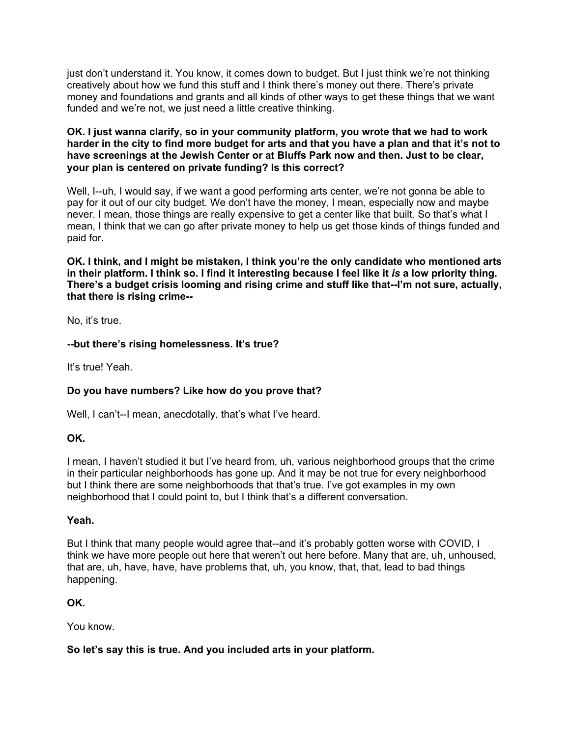just don't understand it. You know, it comes down to budget. But I just think we're not thinking creatively about how we fund this stuff and I think there's money out there. There's private money and foundations and grants and all kinds of other ways to get these things that we want funded and we're not, we just need a little creative thinking.

#### **OK. I just wanna clarify, so in your community platform, you wrote that we had to work** harder in the city to find more budget for arts and that you have a plan and that it's not to **have screenings at the Jewish Center or at Bluffs Park now and then. Just to be clear, your plan is centered on private funding? Is this correct?**

Well, I--uh, I would say, if we want a good performing arts center, we're not gonna be able to pay for it out of our city budget. We don't have the money, I mean, especially now and maybe never. I mean, those things are really expensive to get a center like that built. So that's what I mean, I think that we can go after private money to help us get those kinds of things funded and paid for.

**OK. I think, and I might be mistaken, I think you're the only candidate who mentioned arts** in their platform. I think so. I find it interesting because I feel like it is a low priority thing. **There's a budget crisis looming and rising crime and stuff like that--I'm not sure, actually, that there is rising crime--**

No, it's true.

## **--but there's rising homelessness. It's true?**

It's true! Yeah.

## **Do you have numbers? Like how do you prove that?**

Well, I can't--I mean, anecdotally, that's what I've heard.

### **OK.**

I mean, I haven't studied it but I've heard from, uh, various neighborhood groups that the crime in their particular neighborhoods has gone up. And it may be not true for every neighborhood but I think there are some neighborhoods that that's true. I've got examples in my own neighborhood that I could point to, but I think that's a different conversation.

### **Yeah.**

But I think that many people would agree that--and it's probably gotten worse with COVID, I think we have more people out here that weren't out here before. Many that are, uh, unhoused, that are, uh, have, have, have problems that, uh, you know, that, that, lead to bad things happening.

### **OK.**

You know.

### **So let's say this is true. And you included arts in your platform.**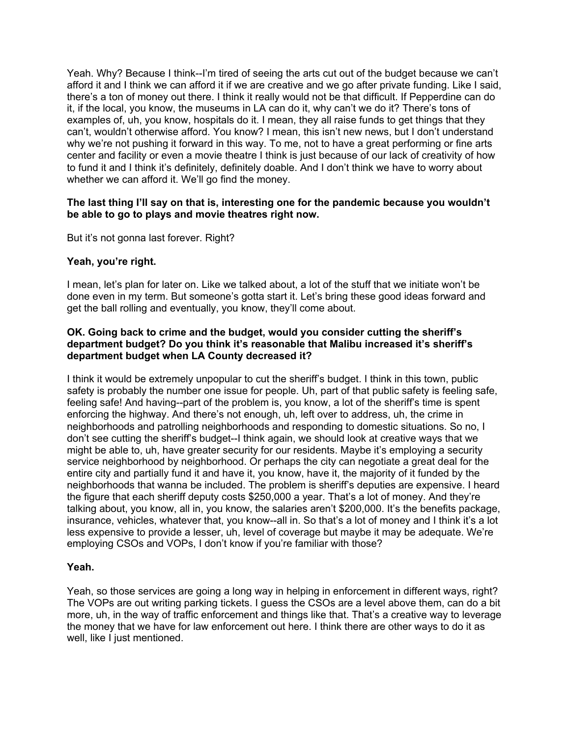Yeah. Why? Because I think--I'm tired of seeing the arts cut out of the budget because we can't afford it and I think we can afford it if we are creative and we go after private funding. Like I said, there's a ton of money out there. I think it really would not be that difficult. If Pepperdine can do it, if the local, you know, the museums in LA can do it, why can't we do it? There's tons of examples of, uh, you know, hospitals do it. I mean, they all raise funds to get things that they can't, wouldn't otherwise afford. You know? I mean, this isn't new news, but I don't understand why we're not pushing it forward in this way. To me, not to have a great performing or fine arts center and facility or even a movie theatre I think is just because of our lack of creativity of how to fund it and I think it's definitely, definitely doable. And I don't think we have to worry about whether we can afford it. We'll go find the money.

#### **The last thing I'll say on that is, interesting one for the pandemic because you wouldn't be able to go to plays and movie theatres right now.**

But it's not gonna last forever. Right?

#### **Yeah, you're right.**

I mean, let's plan for later on. Like we talked about, a lot of the stuff that we initiate won't be done even in my term. But someone's gotta start it. Let's bring these good ideas forward and get the ball rolling and eventually, you know, they'll come about.

#### **OK. Going back to crime and the budget, would you consider cutting the sheriff's department budget? Do you think it's reasonable that Malibu increased it's sheriff's department budget when LA County decreased it?**

I think it would be extremely unpopular to cut the sheriff's budget. I think in this town, public safety is probably the number one issue for people. Uh, part of that public safety is feeling safe, feeling safe! And having--part of the problem is, you know, a lot of the sheriff's time is spent enforcing the highway. And there's not enough, uh, left over to address, uh, the crime in neighborhoods and patrolling neighborhoods and responding to domestic situations. So no, I don't see cutting the sheriff's budget--I think again, we should look at creative ways that we might be able to, uh, have greater security for our residents. Maybe it's employing a security service neighborhood by neighborhood. Or perhaps the city can negotiate a great deal for the entire city and partially fund it and have it, you know, have it, the majority of it funded by the neighborhoods that wanna be included. The problem is sheriff's deputies are expensive. I heard the figure that each sheriff deputy costs \$250,000 a year. That's a lot of money. And they're talking about, you know, all in, you know, the salaries aren't \$200,000. It's the benefits package, insurance, vehicles, whatever that, you know--all in. So that's a lot of money and I think it's a lot less expensive to provide a lesser, uh, level of coverage but maybe it may be adequate. We're employing CSOs and VOPs, I don't know if you're familiar with those?

### **Yeah.**

Yeah, so those services are going a long way in helping in enforcement in different ways, right? The VOPs are out writing parking tickets. I guess the CSOs are a level above them, can do a bit more, uh, in the way of traffic enforcement and things like that. That's a creative way to leverage the money that we have for law enforcement out here. I think there are other ways to do it as well, like I just mentioned.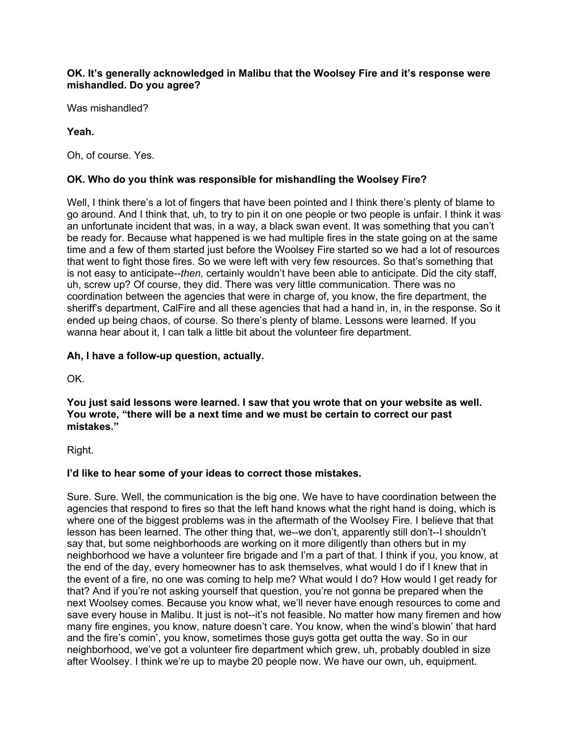#### **OK. It's generally acknowledged in Malibu that the Woolsey Fire and it's response were mishandled. Do you agree?**

Was mishandled?

### **Yeah.**

Oh, of course. Yes.

### **OK. Who do you think was responsible for mishandling the Woolsey Fire?**

Well, I think there's a lot of fingers that have been pointed and I think there's plenty of blame to go around. And I think that, uh, to try to pin it on one people or two people is unfair. I think it was an unfortunate incident that was, in a way, a black swan event. It was something that you can't be ready for. Because what happened is we had multiple fires in the state going on at the same time and a few of them started just before the Woolsey Fire started so we had a lot of resources that went to fight those fires. So we were left with very few resources. So that's something that is not easy to anticipate--*then,* certainly wouldn't have been able to anticipate. Did the city staff, uh, screw up? Of course, they did. There was very little communication. There was no coordination between the agencies that were in charge of, you know, the fire department, the sheriff's department, CalFire and all these agencies that had a hand in, in, in the response. So it ended up being chaos, of course. So there's plenty of blame. Lessons were learned. If you wanna hear about it, I can talk a little bit about the volunteer fire department.

#### **Ah, I have a follow-up question, actually.**

OK.

**You just said lessons were learned. I saw that you wrote that on your website as well. You wrote, "there will be a next time and we must be certain to correct our past mistakes."**

Right.

### **I'd like to hear some of your ideas to correct those mistakes.**

Sure. Sure. Well, the communication is the big one. We have to have coordination between the agencies that respond to fires so that the left hand knows what the right hand is doing, which is where one of the biggest problems was in the aftermath of the Woolsey Fire. I believe that that lesson has been learned. The other thing that, we--we don't, apparently still don't--I shouldn't say that, but some neighborhoods are working on it more diligently than others but in my neighborhood we have a volunteer fire brigade and I'm a part of that. I think if you, you know, at the end of the day, every homeowner has to ask themselves, what would I do if I knew that in the event of a fire, no one was coming to help me? What would I do? How would I get ready for that? And if you're not asking yourself that question, you're not gonna be prepared when the next Woolsey comes. Because you know what, we'll never have enough resources to come and save every house in Malibu. It just is not--it's not feasible. No matter how many firemen and how many fire engines, you know, nature doesn't care. You know, when the wind's blowin' that hard and the fire's comin', you know, sometimes those guys gotta get outta the way. So in our neighborhood, we've got a volunteer fire department which grew, uh, probably doubled in size after Woolsey. I think we're up to maybe 20 people now. We have our own, uh, equipment.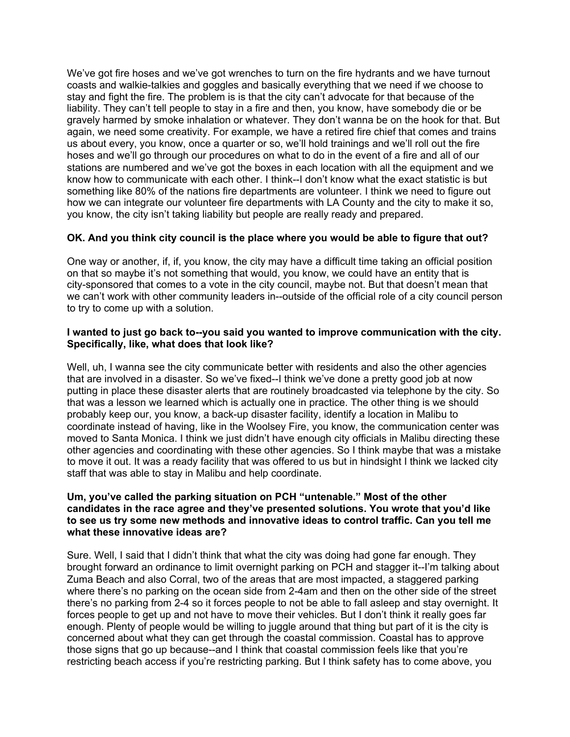We've got fire hoses and we've got wrenches to turn on the fire hydrants and we have turnout coasts and walkie-talkies and goggles and basically everything that we need if we choose to stay and fight the fire. The problem is is that the city can't advocate for that because of the liability. They can't tell people to stay in a fire and then, you know, have somebody die or be gravely harmed by smoke inhalation or whatever. They don't wanna be on the hook for that. But again, we need some creativity. For example, we have a retired fire chief that comes and trains us about every, you know, once a quarter or so, we'll hold trainings and we'll roll out the fire hoses and we'll go through our procedures on what to do in the event of a fire and all of our stations are numbered and we've got the boxes in each location with all the equipment and we know how to communicate with each other. I think--I don't know what the exact statistic is but something like 80% of the nations fire departments are volunteer. I think we need to figure out how we can integrate our volunteer fire departments with LA County and the city to make it so, you know, the city isn't taking liability but people are really ready and prepared.

### **OK. And you think city council is the place where you would be able to figure that out?**

One way or another, if, if, you know, the city may have a difficult time taking an official position on that so maybe it's not something that would, you know, we could have an entity that is city-sponsored that comes to a vote in the city council, maybe not. But that doesn't mean that we can't work with other community leaders in--outside of the official role of a city council person to try to come up with a solution.

#### **I wanted to just go back to--you said you wanted to improve communication with the city. Specifically, like, what does that look like?**

Well, uh, I wanna see the city communicate better with residents and also the other agencies that are involved in a disaster. So we've fixed--I think we've done a pretty good job at now putting in place these disaster alerts that are routinely broadcasted via telephone by the city. So that was a lesson we learned which is actually one in practice. The other thing is we should probably keep our, you know, a back-up disaster facility, identify a location in Malibu to coordinate instead of having, like in the Woolsey Fire, you know, the communication center was moved to Santa Monica. I think we just didn't have enough city officials in Malibu directing these other agencies and coordinating with these other agencies. So I think maybe that was a mistake to move it out. It was a ready facility that was offered to us but in hindsight I think we lacked city staff that was able to stay in Malibu and help coordinate.

#### **Um, you've called the parking situation on PCH "untenable." Most of the other candidates in the race agree and they've presented solutions. You wrote that you'd like to see us try some new methods and innovative ideas to control traffic. Can you tell me what these innovative ideas are?**

Sure. Well, I said that I didn't think that what the city was doing had gone far enough. They brought forward an ordinance to limit overnight parking on PCH and stagger it--I'm talking about Zuma Beach and also Corral, two of the areas that are most impacted, a staggered parking where there's no parking on the ocean side from 2-4am and then on the other side of the street there's no parking from 2-4 so it forces people to not be able to fall asleep and stay overnight. It forces people to get up and not have to move their vehicles. But I don't think it really goes far enough. Plenty of people would be willing to juggle around that thing but part of it is the city is concerned about what they can get through the coastal commission. Coastal has to approve those signs that go up because--and I think that coastal commission feels like that you're restricting beach access if you're restricting parking. But I think safety has to come above, you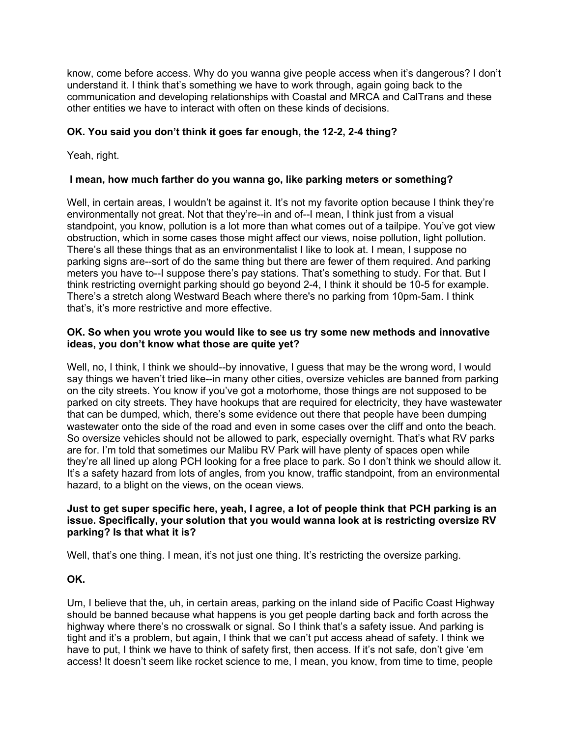know, come before access. Why do you wanna give people access when it's dangerous? I don't understand it. I think that's something we have to work through, again going back to the communication and developing relationships with Coastal and MRCA and CalTrans and these other entities we have to interact with often on these kinds of decisions.

## **OK. You said you don't think it goes far enough, the 12-2, 2-4 thing?**

Yeah, right.

### **I mean, how much farther do you wanna go, like parking meters or something?**

Well, in certain areas, I wouldn't be against it. It's not my favorite option because I think they're environmentally not great. Not that they're--in and of--I mean, I think just from a visual standpoint, you know, pollution is a lot more than what comes out of a tailpipe. You've got view obstruction, which in some cases those might affect our views, noise pollution, light pollution. There's all these things that as an environmentalist I like to look at. I mean, I suppose no parking signs are--sort of do the same thing but there are fewer of them required. And parking meters you have to--I suppose there's pay stations. That's something to study. For that. But I think restricting overnight parking should go beyond 2-4, I think it should be 10-5 for example. There's a stretch along Westward Beach where there's no parking from 10pm-5am. I think that's, it's more restrictive and more effective.

#### **OK. So when you wrote you would like to see us try some new methods and innovative ideas, you don't know what those are quite yet?**

Well, no, I think, I think we should--by innovative, I guess that may be the wrong word, I would say things we haven't tried like--in many other cities, oversize vehicles are banned from parking on the city streets. You know if you've got a motorhome, those things are not supposed to be parked on city streets. They have hookups that are required for electricity, they have wastewater that can be dumped, which, there's some evidence out there that people have been dumping wastewater onto the side of the road and even in some cases over the cliff and onto the beach. So oversize vehicles should not be allowed to park, especially overnight. That's what RV parks are for. I'm told that sometimes our Malibu RV Park will have plenty of spaces open while they're all lined up along PCH looking for a free place to park. So I don't think we should allow it. It's a safety hazard from lots of angles, from you know, traffic standpoint, from an environmental hazard, to a blight on the views, on the ocean views.

#### Just to get super specific here, yeah, I agree, a lot of people think that PCH parking is an **issue. Specifically, your solution that you would wanna look at is restricting oversize RV parking? Is that what it is?**

Well, that's one thing. I mean, it's not just one thing. It's restricting the oversize parking.

### **OK.**

Um, I believe that the, uh, in certain areas, parking on the inland side of Pacific Coast Highway should be banned because what happens is you get people darting back and forth across the highway where there's no crosswalk or signal. So I think that's a safety issue. And parking is tight and it's a problem, but again, I think that we can't put access ahead of safety. I think we have to put, I think we have to think of safety first, then access. If it's not safe, don't give 'em access! It doesn't seem like rocket science to me, I mean, you know, from time to time, people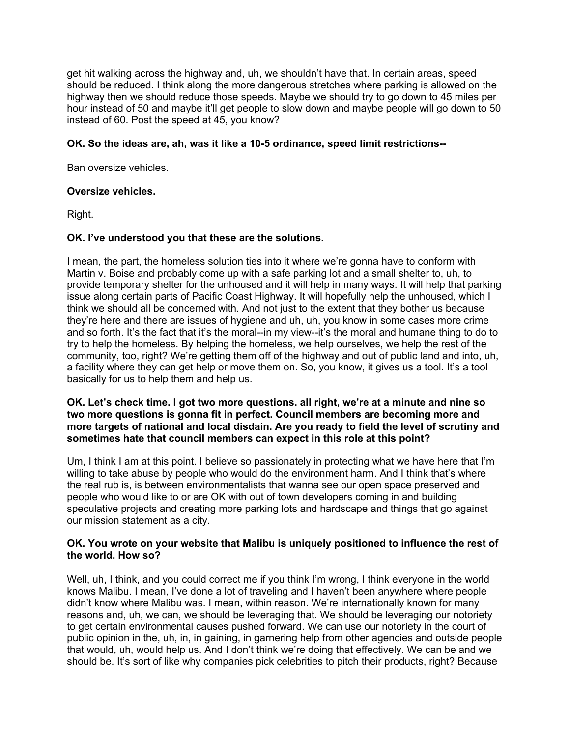get hit walking across the highway and, uh, we shouldn't have that. In certain areas, speed should be reduced. I think along the more dangerous stretches where parking is allowed on the highway then we should reduce those speeds. Maybe we should try to go down to 45 miles per hour instead of 50 and maybe it'll get people to slow down and maybe people will go down to 50 instead of 60. Post the speed at 45, you know?

#### **OK. So the ideas are, ah, was it like a 10-5 ordinance, speed limit restrictions--**

Ban oversize vehicles.

#### **Oversize vehicles.**

Right.

#### **OK. I've understood you that these are the solutions.**

I mean, the part, the homeless solution ties into it where we're gonna have to conform with Martin v. Boise and probably come up with a safe parking lot and a small shelter to, uh, to provide temporary shelter for the unhoused and it will help in many ways. It will help that parking issue along certain parts of Pacific Coast Highway. It will hopefully help the unhoused, which I think we should all be concerned with. And not just to the extent that they bother us because they're here and there are issues of hygiene and uh, uh, you know in some cases more crime and so forth. It's the fact that it's the moral--in my view--it's the moral and humane thing to do to try to help the homeless. By helping the homeless, we help ourselves, we help the rest of the community, too, right? We're getting them off of the highway and out of public land and into, uh, a facility where they can get help or move them on. So, you know, it gives us a tool. It's a tool basically for us to help them and help us.

#### **OK. Let's check time. I got two more questions. all right, we're at a minute and nine so two more questions is gonna fit in perfect. Council members are becoming more and more targets of national and local disdain. Are you ready to field the level of scrutiny and sometimes hate that council members can expect in this role at this point?**

Um, I think I am at this point. I believe so passionately in protecting what we have here that I'm willing to take abuse by people who would do the environment harm. And I think that's where the real rub is, is between environmentalists that wanna see our open space preserved and people who would like to or are OK with out of town developers coming in and building speculative projects and creating more parking lots and hardscape and things that go against our mission statement as a city.

#### **OK. You wrote on your website that Malibu is uniquely positioned to influence the rest of the world. How so?**

Well, uh, I think, and you could correct me if you think I'm wrong, I think everyone in the world knows Malibu. I mean, I've done a lot of traveling and I haven't been anywhere where people didn't know where Malibu was. I mean, within reason. We're internationally known for many reasons and, uh, we can, we should be leveraging that. We should be leveraging our notoriety to get certain environmental causes pushed forward. We can use our notoriety in the court of public opinion in the, uh, in, in gaining, in garnering help from other agencies and outside people that would, uh, would help us. And I don't think we're doing that effectively. We can be and we should be. It's sort of like why companies pick celebrities to pitch their products, right? Because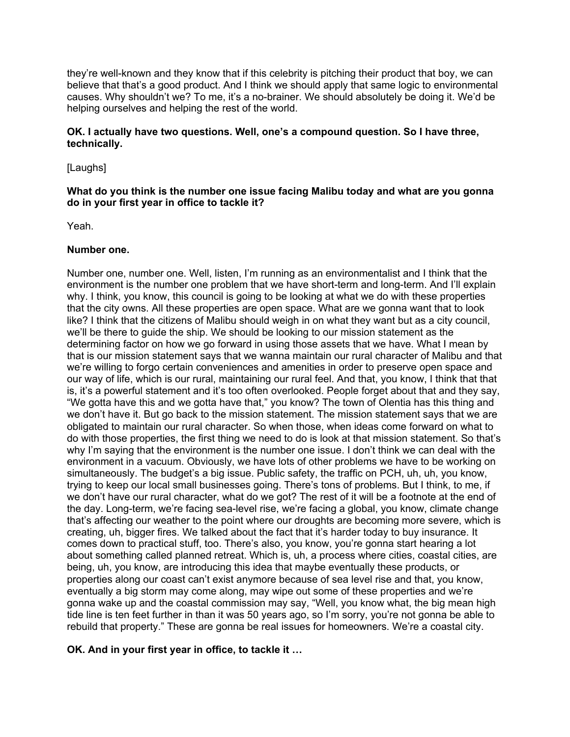they're well-known and they know that if this celebrity is pitching their product that boy, we can believe that that's a good product. And I think we should apply that same logic to environmental causes. Why shouldn't we? To me, it's a no-brainer. We should absolutely be doing it. We'd be helping ourselves and helping the rest of the world.

#### **OK. I actually have two questions. Well, one's a compound question. So I have three, technically.**

[Laughs]

#### **What do you think is the number one issue facing Malibu today and what are you gonna do in your first year in office to tackle it?**

Yeah.

#### **Number one.**

Number one, number one. Well, listen, I'm running as an environmentalist and I think that the environment is the number one problem that we have short-term and long-term. And I'll explain why. I think, you know, this council is going to be looking at what we do with these properties that the city owns. All these properties are open space. What are we gonna want that to look like? I think that the citizens of Malibu should weigh in on what they want but as a city council, we'll be there to guide the ship. We should be looking to our mission statement as the determining factor on how we go forward in using those assets that we have. What I mean by that is our mission statement says that we wanna maintain our rural character of Malibu and that we're willing to forgo certain conveniences and amenities in order to preserve open space and our way of life, which is our rural, maintaining our rural feel. And that, you know, I think that that is, it's a powerful statement and it's too often overlooked. People forget about that and they say, "We gotta have this and we gotta have that," you know? The town of Olentia has this thing and we don't have it. But go back to the mission statement. The mission statement says that we are obligated to maintain our rural character. So when those, when ideas come forward on what to do with those properties, the first thing we need to do is look at that mission statement. So that's why I'm saying that the environment is the number one issue. I don't think we can deal with the environment in a vacuum. Obviously, we have lots of other problems we have to be working on simultaneously. The budget's a big issue. Public safety, the traffic on PCH, uh, uh, you know, trying to keep our local small businesses going. There's tons of problems. But I think, to me, if we don't have our rural character, what do we got? The rest of it will be a footnote at the end of the day. Long-term, we're facing sea-level rise, we're facing a global, you know, climate change that's affecting our weather to the point where our droughts are becoming more severe, which is creating, uh, bigger fires. We talked about the fact that it's harder today to buy insurance. It comes down to practical stuff, too. There's also, you know, you're gonna start hearing a lot about something called planned retreat. Which is, uh, a process where cities, coastal cities, are being, uh, you know, are introducing this idea that maybe eventually these products, or properties along our coast can't exist anymore because of sea level rise and that, you know, eventually a big storm may come along, may wipe out some of these properties and we're gonna wake up and the coastal commission may say, "Well, you know what, the big mean high tide line is ten feet further in than it was 50 years ago, so I'm sorry, you're not gonna be able to rebuild that property." These are gonna be real issues for homeowners. We're a coastal city.

### **OK. And in your first year in office, to tackle it …**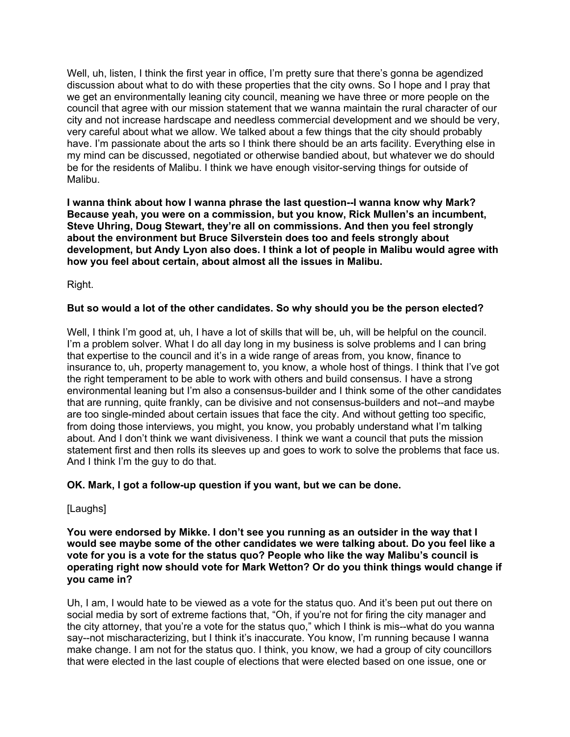Well, uh, listen, I think the first year in office. I'm pretty sure that there's gonna be agendized discussion about what to do with these properties that the city owns. So I hope and I pray that we get an environmentally leaning city council, meaning we have three or more people on the council that agree with our mission statement that we wanna maintain the rural character of our city and not increase hardscape and needless commercial development and we should be very, very careful about what we allow. We talked about a few things that the city should probably have. I'm passionate about the arts so I think there should be an arts facility. Everything else in my mind can be discussed, negotiated or otherwise bandied about, but whatever we do should be for the residents of Malibu. I think we have enough visitor-serving things for outside of Malibu.

**I wanna think about how I wanna phrase the last question--I wanna know why Mark? Because yeah, you were on a commission, but you know, Rick Mullen's an incumbent, Steve Uhring, Doug Stewart, they're all on commissions. And then you feel strongly about the environment but Bruce Silverstein does too and feels strongly about development, but Andy Lyon also does. I think a lot of people in Malibu would agree with how you feel about certain, about almost all the issues in Malibu.**

Right.

### **But so would a lot of the other candidates. So why should you be the person elected?**

Well, I think I'm good at, uh, I have a lot of skills that will be, uh, will be helpful on the council. I'm a problem solver. What I do all day long in my business is solve problems and I can bring that expertise to the council and it's in a wide range of areas from, you know, finance to insurance to, uh, property management to, you know, a whole host of things. I think that I've got the right temperament to be able to work with others and build consensus. I have a strong environmental leaning but I'm also a consensus-builder and I think some of the other candidates that are running, quite frankly, can be divisive and not consensus-builders and not--and maybe are too single-minded about certain issues that face the city. And without getting too specific, from doing those interviews, you might, you know, you probably understand what I'm talking about. And I don't think we want divisiveness. I think we want a council that puts the mission statement first and then rolls its sleeves up and goes to work to solve the problems that face us. And I think I'm the guy to do that.

### **OK. Mark, I got a follow-up question if you want, but we can be done.**

[Laughs]

**You were endorsed by Mikke. I don't see you running as an outsider in the way that I would see maybe some of the other candidates we were talking about. Do you feel like a vote for you is a vote for the status quo? People who like the way Malibu's council is operating right now should vote for Mark Wetton? Or do you think things would change if you came in?**

Uh, I am, I would hate to be viewed as a vote for the status quo. And it's been put out there on social media by sort of extreme factions that, "Oh, if you're not for firing the city manager and the city attorney, that you're a vote for the status quo," which I think is mis--what do you wanna say--not mischaracterizing, but I think it's inaccurate. You know, I'm running because I wanna make change. I am not for the status quo. I think, you know, we had a group of city councillors that were elected in the last couple of elections that were elected based on one issue, one or